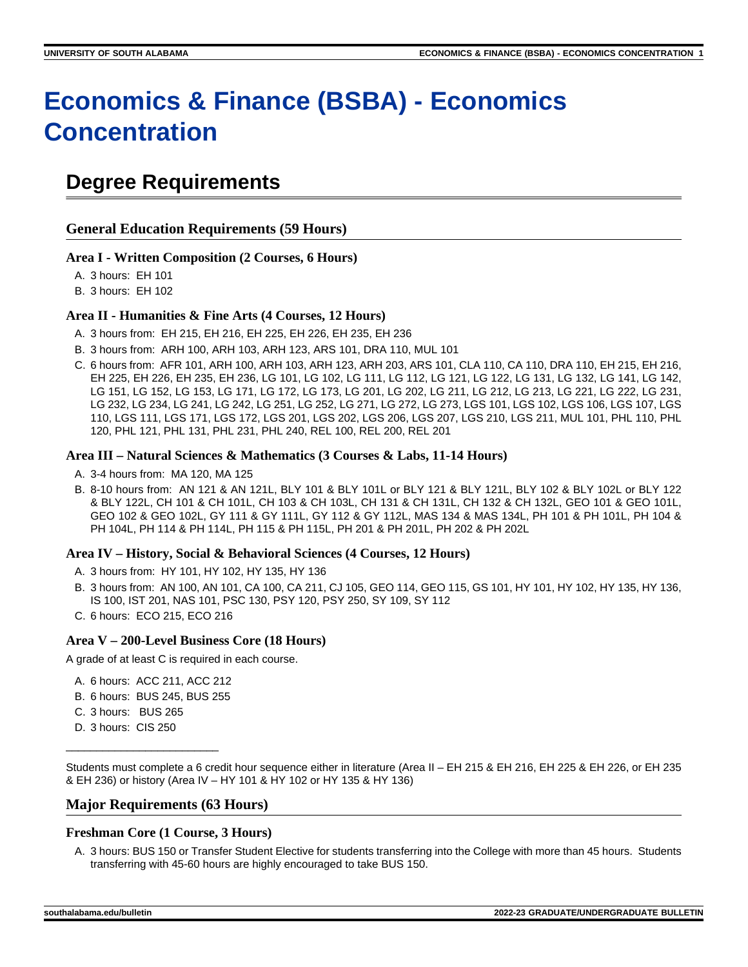# **Economics & Finance (BSBA) - Economics Concentration**

# **Degree Requirements**

**General Education Requirements (59 Hours)**

### **Area I - Written Composition (2 Courses, 6 Hours)**

A. 3 hours: EH 101

B. 3 hours: EH 102

### **Area II - Humanities & Fine Arts (4 Courses, 12 Hours)**

- A. 3 hours from: EH 215, EH 216, EH 225, EH 226, EH 235, EH 236
- B. 3 hours from: ARH 100, ARH 103, ARH 123, ARS 101, DRA 110, MUL 101
- C. 6 hours from: AFR 101, ARH 100, ARH 103, ARH 123, ARH 203, ARS 101, CLA 110, CA 110, DRA 110, EH 215, EH 216, EH 225, EH 226, EH 235, EH 236, LG 101, LG 102, LG 111, LG 112, LG 121, LG 122, LG 131, LG 132, LG 141, LG 142, LG 151, LG 152, LG 153, LG 171, LG 172, LG 173, LG 201, LG 202, LG 211, LG 212, LG 213, LG 221, LG 222, LG 231, LG 232, LG 234, LG 241, LG 242, LG 251, LG 252, LG 271, LG 272, LG 273, LGS 101, LGS 102, LGS 106, LGS 107, LGS 110, LGS 111, LGS 171, LGS 172, LGS 201, LGS 202, LGS 206, LGS 207, LGS 210, LGS 211, MUL 101, PHL 110, PHL 120, PHL 121, PHL 131, PHL 231, PHL 240, REL 100, REL 200, REL 201

### **Area III – Natural Sciences & Mathematics (3 Courses & Labs, 11-14 Hours)**

- A. 3-4 hours from: MA 120, MA 125
- B. 8-10 hours from: AN 121 & AN 121L, BLY 101 & BLY 101L or BLY 121 & BLY 121L, BLY 102 & BLY 102L or BLY 122 & BLY 122L, CH 101 & CH 101L, CH 103 & CH 103L, CH 131 & CH 131L, CH 132 & CH 132L, GEO 101 & GEO 101L, GEO 102 & GEO 102L, GY 111 & GY 111L, GY 112 & GY 112L, MAS 134 & MAS 134L, PH 101 & PH 101L, PH 104 & PH 104L, PH 114 & PH 114L, PH 115 & PH 115L, PH 201 & PH 201L, PH 202 & PH 202L

### **Area IV – History, Social & Behavioral Sciences (4 Courses, 12 Hours)**

- A. 3 hours from: HY 101, HY 102, HY 135, HY 136
- B. 3 hours from: AN 100, AN 101, CA 100, CA 211, CJ 105, GEO 114, GEO 115, GS 101, HY 101, HY 102, HY 135, HY 136, IS 100, IST 201, NAS 101, PSC 130, PSY 120, PSY 250, SY 109, SY 112
- C. 6 hours: ECO 215, ECO 216

### **Area V – 200-Level Business Core (18 Hours)**

A grade of at least C is required in each course.

- A. 6 hours: ACC 211, ACC 212
- B. 6 hours: BUS 245, BUS 255
- C. 3 hours: BUS 265
- D. 3 hours: CIS 250

\_\_\_\_\_\_\_\_\_\_\_\_\_\_\_\_\_\_\_\_\_\_\_\_\_

Students must complete a 6 credit hour sequence either in literature (Area II – EH 215 & EH 216, EH 225 & EH 226, or EH 235 & EH 236) or history (Area IV – HY 101 & HY 102 or HY 135 & HY 136)

### **Major Requirements (63 Hours)**

### **Freshman Core (1 Course, 3 Hours)**

A. 3 hours: BUS 150 or Transfer Student Elective for students transferring into the College with more than 45 hours. Students transferring with 45-60 hours are highly encouraged to take BUS 150.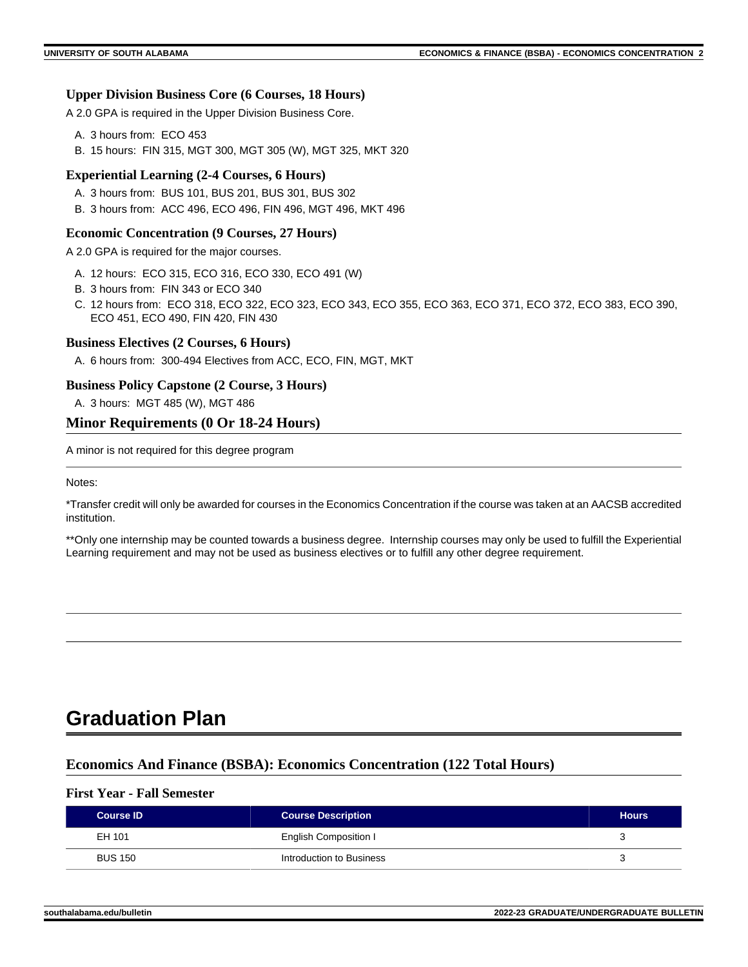### **Upper Division Business Core (6 Courses, 18 Hours)**

A 2.0 GPA is required in the Upper Division Business Core.

- A. 3 hours from: ECO 453
- B. 15 hours: FIN 315, MGT 300, MGT 305 (W), MGT 325, MKT 320

### **Experiential Learning (2-4 Courses, 6 Hours)**

- A. 3 hours from: BUS 101, BUS 201, BUS 301, BUS 302
- B. 3 hours from: ACC 496, ECO 496, FIN 496, MGT 496, MKT 496

### **Economic Concentration (9 Courses, 27 Hours)**

A 2.0 GPA is required for the major courses.

- A. 12 hours: ECO 315, ECO 316, ECO 330, ECO 491 (W)
- B. 3 hours from: FIN 343 or ECO 340
- C. 12 hours from: ECO 318, ECO 322, ECO 323, ECO 343, ECO 355, ECO 363, ECO 371, ECO 372, ECO 383, ECO 390, ECO 451, ECO 490, FIN 420, FIN 430

### **Business Electives (2 Courses, 6 Hours)**

A. 6 hours from: 300-494 Electives from ACC, ECO, FIN, MGT, MKT

### **Business Policy Capstone (2 Course, 3 Hours)**

A. 3 hours: MGT 485 (W), MGT 486

### **Minor Requirements (0 Or 18-24 Hours)**

A minor is not required for this degree program

Notes:

\*Transfer credit will only be awarded for courses in the Economics Concentration if the course was taken at an AACSB accredited institution.

\*\*Only one internship may be counted towards a business degree. Internship courses may only be used to fulfill the Experiential Learning requirement and may not be used as business electives or to fulfill any other degree requirement.

# **Graduation Plan**

### **Economics And Finance (BSBA): Economics Concentration (122 Total Hours)**

### **First Year - Fall Semester**

| <b>Course ID</b> | <b>Course Description</b> | <b>Hours</b> |
|------------------|---------------------------|--------------|
| EH 101           | English Composition I     |              |
| <b>BUS 150</b>   | Introduction to Business  |              |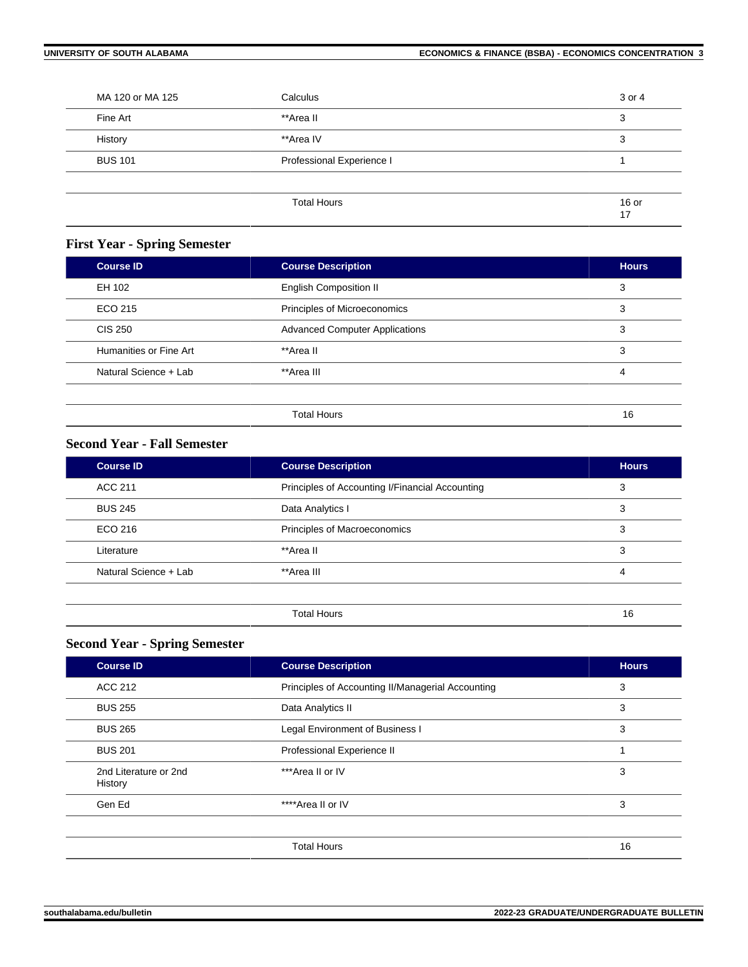| MA 120 or MA 125 | Calculus                  | 3 or 4      |
|------------------|---------------------------|-------------|
| Fine Art         | **Area II                 | 3           |
| History          | **Area IV                 | 3           |
| <b>BUS 101</b>   | Professional Experience I |             |
|                  |                           |             |
|                  | <b>Total Hours</b>        | 16 or<br>17 |

# **First Year - Spring Semester**

| <b>Course ID</b>       | <b>Course Description</b>             | <b>Hours</b> |
|------------------------|---------------------------------------|--------------|
| EH 102                 | <b>English Composition II</b>         | 3            |
| ECO 215                | Principles of Microeconomics          | 3            |
| <b>CIS 250</b>         | <b>Advanced Computer Applications</b> | 3            |
| Humanities or Fine Art | **Area II                             | 3            |
| Natural Science + Lab  | **Area III                            | 4            |
|                        |                                       |              |
|                        | <b>Total Hours</b>                    | 16           |

# **Second Year - Fall Semester**

| <b>Course ID</b>      | <b>Course Description</b>                       | <b>Hours</b> |
|-----------------------|-------------------------------------------------|--------------|
| ACC 211               | Principles of Accounting I/Financial Accounting | 3            |
| <b>BUS 245</b>        | Data Analytics I                                | 3            |
| ECO 216               | Principles of Macroeconomics                    | 3            |
| Literature            | **Area II                                       | 3            |
| Natural Science + Lab | **Area III                                      | 4            |
|                       |                                                 |              |
|                       | <b>Total Hours</b>                              | 16           |

## **Second Year - Spring Semester**

| <b>Course Description</b>                         | <b>Hours</b> |
|---------------------------------------------------|--------------|
| Principles of Accounting II/Managerial Accounting | 3            |
| Data Analytics II                                 | 3            |
| Legal Environment of Business I                   | 3            |
| Professional Experience II                        |              |
| ***Area II or IV                                  | 3            |
| ****Area II or IV                                 | 3            |
|                                                   |              |
| <b>Total Hours</b>                                | 16           |
|                                                   |              |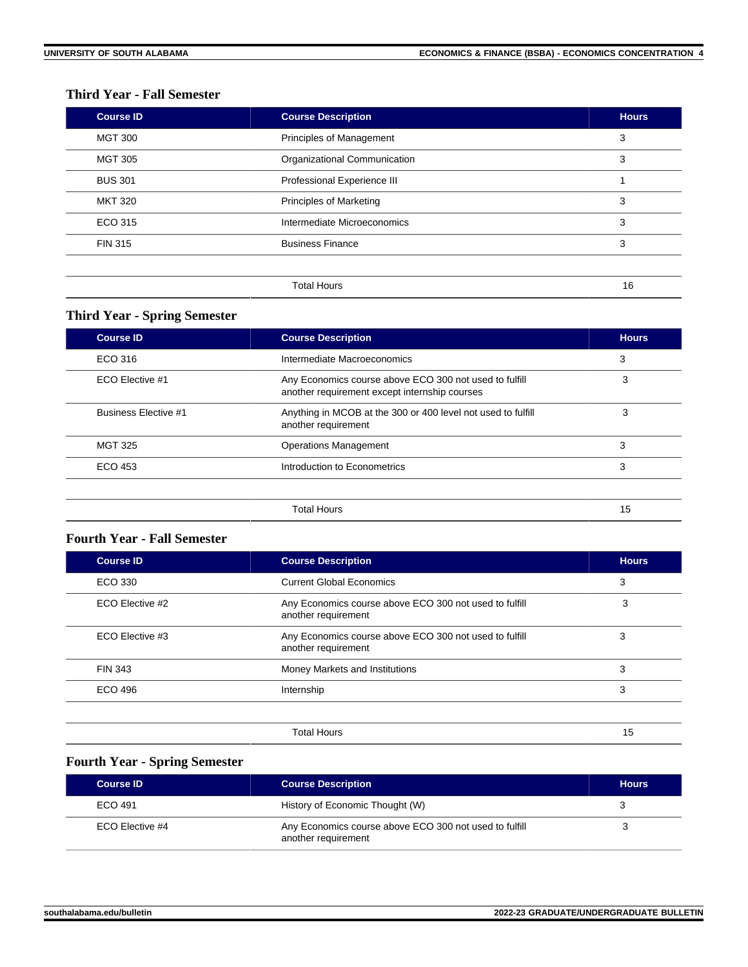### **Third Year - Fall Semester**

| <b>Course ID</b> | <b>Course Description</b>      | <b>Hours</b> |
|------------------|--------------------------------|--------------|
| <b>MGT 300</b>   | Principles of Management       | 3            |
| <b>MGT 305</b>   | Organizational Communication   | 3            |
| <b>BUS 301</b>   | Professional Experience III    |              |
| <b>MKT 320</b>   | <b>Principles of Marketing</b> | 3            |
| ECO 315          | Intermediate Microeconomics    | 3            |
| <b>FIN 315</b>   | <b>Business Finance</b>        | 3            |
|                  |                                |              |
|                  | <b>Total Hours</b>             | 16           |

### **Third Year - Spring Semester**

| <b>Course Description</b>                                                                               | <b>Hours</b> |
|---------------------------------------------------------------------------------------------------------|--------------|
| Intermediate Macroeconomics                                                                             | 3            |
| Any Economics course above ECO 300 not used to fulfill<br>another requirement except internship courses | 3            |
| Anything in MCOB at the 300 or 400 level not used to fulfill<br>another requirement                     | 3            |
| <b>Operations Management</b>                                                                            | 3            |
| Introduction to Econometrics                                                                            | 3            |
| <b>Total Hours</b>                                                                                      | 15           |
|                                                                                                         |              |

### **Fourth Year - Fall Semester**

| <b>Course ID</b> | <b>Course Description</b>                                                     | <b>Hours</b> |
|------------------|-------------------------------------------------------------------------------|--------------|
| ECO 330          | <b>Current Global Economics</b>                                               | 3            |
| ECO Elective #2  | Any Economics course above ECO 300 not used to fulfill<br>another requirement | 3            |
| ECO Elective #3  | Any Economics course above ECO 300 not used to fulfill<br>another requirement | 3            |
| <b>FIN 343</b>   | Money Markets and Institutions                                                | 3            |
| ECO 496          | Internship                                                                    | 3            |
|                  |                                                                               |              |
|                  | <b>Total Hours</b>                                                            | 15           |

# **Fourth Year - Spring Semester**

| <b>Course ID</b> | <b>Course Description</b>                                                     | <b>Hours</b> |
|------------------|-------------------------------------------------------------------------------|--------------|
| ECO 491          | History of Economic Thought (W)                                               |              |
| ECO Elective #4  | Any Economics course above ECO 300 not used to fulfill<br>another requirement |              |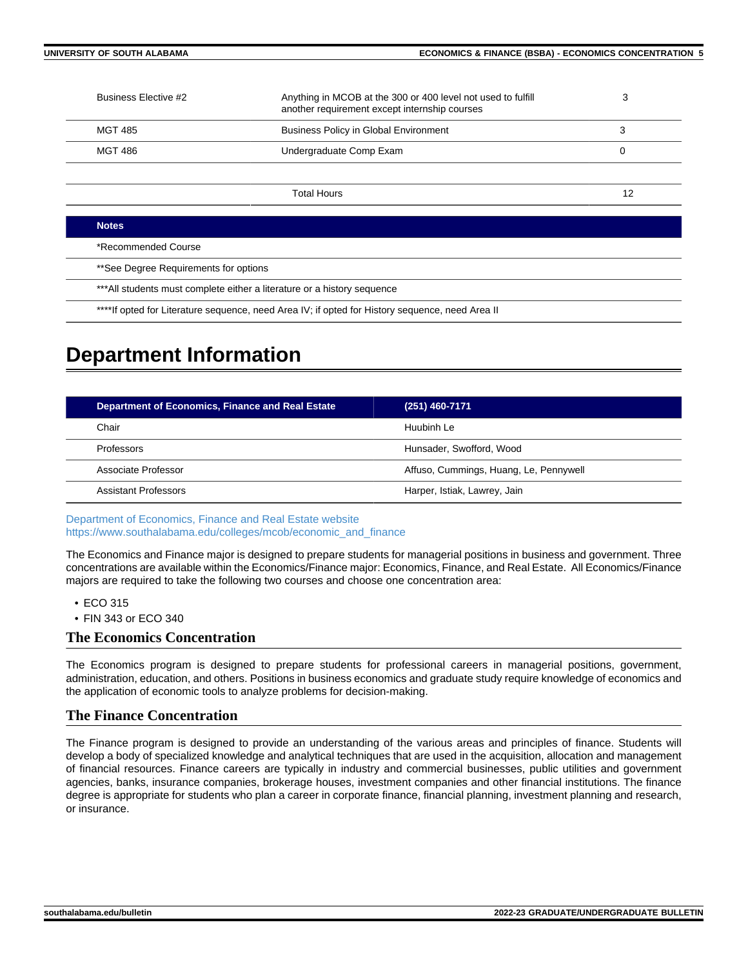| Business Elective #2                  | Anything in MCOB at the 300 or 400 level not used to fulfill<br>another requirement except internship courses | 3  |
|---------------------------------------|---------------------------------------------------------------------------------------------------------------|----|
| <b>MGT 485</b>                        | <b>Business Policy in Global Environment</b>                                                                  | 3  |
| <b>MGT 486</b>                        | Undergraduate Comp Exam                                                                                       | 0  |
|                                       |                                                                                                               |    |
|                                       | <b>Total Hours</b>                                                                                            | 12 |
|                                       |                                                                                                               |    |
| <b>Notes</b>                          |                                                                                                               |    |
| *Recommended Course                   |                                                                                                               |    |
| **See Degree Requirements for options |                                                                                                               |    |

\*\*\*All students must complete either a literature or a history sequence

\*\*\*\*If opted for Literature sequence, need Area IV; if opted for History sequence, need Area II

# **Department Information**

| Department of Economics, Finance and Real Estate | $(251)$ 460-7171                       |
|--------------------------------------------------|----------------------------------------|
| Chair                                            | Huubinh Le                             |
| Professors                                       | Hunsader, Swofford, Wood               |
| Associate Professor                              | Affuso, Cummings, Huang, Le, Pennywell |
| Assistant Professors                             | Harper, Istiak, Lawrey, Jain           |

[Department of Economics, Finance and Real Estate website](https://www.southalabama.edu/colleges/mcob/economic_and_finance/) [https://www.southalabama.edu/colleges/mcob/economic\\_and\\_finance](https://www.southalabama.edu/colleges/mcob/economic_and_finance)

The Economics and Finance major is designed to prepare students for managerial positions in business and government. Three concentrations are available within the Economics/Finance major: Economics, Finance, and Real Estate. All Economics/Finance majors are required to take the following two courses and choose one concentration area:

- ECO 315
- FIN 343 or ECO 340

### **The Economics Concentration**

The Economics program is designed to prepare students for professional careers in managerial positions, government, administration, education, and others. Positions in business economics and graduate study require knowledge of economics and the application of economic tools to analyze problems for decision-making.

### **The Finance Concentration**

The Finance program is designed to provide an understanding of the various areas and principles of finance. Students will develop a body of specialized knowledge and analytical techniques that are used in the acquisition, allocation and management of financial resources. Finance careers are typically in industry and commercial businesses, public utilities and government agencies, banks, insurance companies, brokerage houses, investment companies and other financial institutions. The finance degree is appropriate for students who plan a career in corporate finance, financial planning, investment planning and research, or insurance.